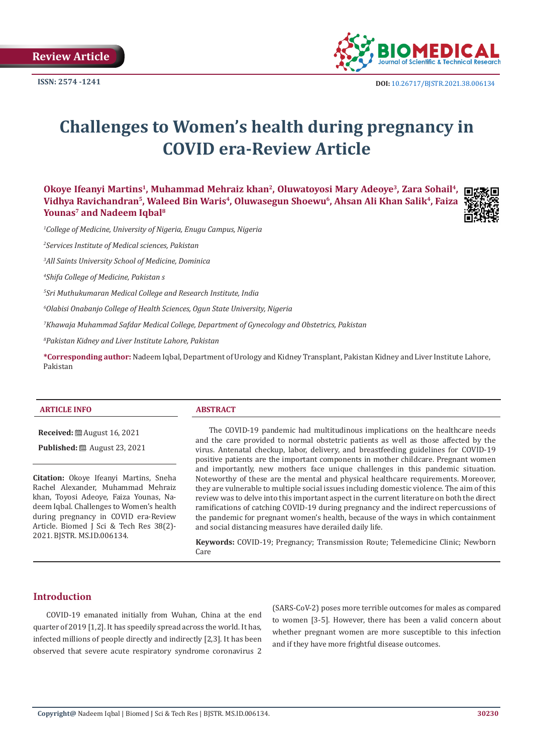

# **Challenges to Women's health during pregnancy in COVID era-Review Article**

**Okoye Ifeanyi Martins1, Muhammad Mehraiz khan2, Oluwatoyosi Mary Adeoye3, Zara Sohail4, Vidhya Ravichandran5, Waleed Bin Waris4, Oluwasegun Shoewu6, Ahsan Ali Khan Salik4, Faiza Younas7 and Nadeem Iqbal8**



*1 College of Medicine, University of Nigeria, Enugu Campus, Nigeria* 

*2 Services Institute of Medical sciences, Pakistan* 

*3 All Saints University School of Medicine, Dominica* 

*4 Shifa College of Medicine, Pakistan s*

*5 Sri Muthukumaran Medical College and Research Institute, India* 

*6 Olabisi Onabanjo College of Health Sciences, Ogun State University, Nigeria* 

*7 Khawaja Muhammad Safdar Medical College, Department of Gynecology and Obstetrics, Pakistan* 

*8 Pakistan Kidney and Liver Institute Lahore, Pakistan*

**\*Corresponding author:** Nadeem Iqbal, Department of Urology and Kidney Transplant, Pakistan Kidney and Liver Institute Lahore, Pakistan

#### **ARTICLE INFO ABSTRACT**

**Received:** August 16, 2021

**Published:** ■ August 23, 2021

**Citation:** Okoye Ifeanyi Martins, Sneha Rachel Alexander, Muhammad Mehraiz khan, Toyosi Adeoye, Faiza Younas, Nadeem Iqbal. Challenges to Women's health during pregnancy in COVID era-Review Article. Biomed J Sci & Tech Res 38(2)- 2021. BJSTR. MS.ID.006134.

The COVID-19 pandemic had multitudinous implications on the healthcare needs and the care provided to normal obstetric patients as well as those affected by the virus. Antenatal checkup, labor, delivery, and breastfeeding guidelines for COVID-19 positive patients are the important components in mother childcare. Pregnant women and importantly, new mothers face unique challenges in this pandemic situation. Noteworthy of these are the mental and physical healthcare requirements. Moreover, they are vulnerable to multiple social issues including domestic violence. The aim of this review was to delve into this important aspect in the current literature on both the direct ramifications of catching COVID-19 during pregnancy and the indirect repercussions of the pandemic for pregnant women's health, because of the ways in which containment and social distancing measures have derailed daily life.

**Keywords:** COVID-19; Pregnancy; Transmission Route; Telemedicine Clinic; Newborn Care

# **Introduction**

COVID-19 emanated initially from Wuhan, China at the end quarter of 2019 [1,2]. It has speedily spread across the world. It has, infected millions of people directly and indirectly [2,3]. It has been observed that severe acute respiratory syndrome coronavirus 2

(SARS-CoV-2) poses more terrible outcomes for males as compared to women [3-5]. However, there has been a valid concern about whether pregnant women are more susceptible to this infection and if they have more frightful disease outcomes.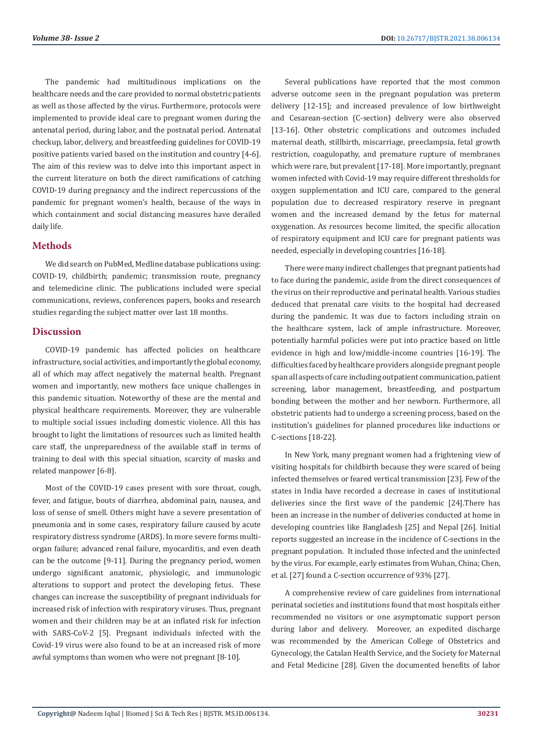The pandemic had multitudinous implications on the healthcare needs and the care provided to normal obstetric patients as well as those affected by the virus. Furthermore, protocols were implemented to provide ideal care to pregnant women during the antenatal period, during labor, and the postnatal period. Antenatal checkup, labor, delivery, and breastfeeding guidelines for COVID-19 positive patients varied based on the institution and country [4-6]. The aim of this review was to delve into this important aspect in the current literature on both the direct ramifications of catching COVID-19 during pregnancy and the indirect repercussions of the pandemic for pregnant women's health, because of the ways in which containment and social distancing measures have derailed daily life.

#### **Methods**

We did search on PubMed, Medline database publications using: COVID-19, childbirth; pandemic; transmission route, pregnancy and telemedicine clinic. The publications included were special communications, reviews, conferences papers, books and research studies regarding the subject matter over last 18 months.

## **Discussion**

COVID-19 pandemic has affected policies on healthcare infrastructure, social activities, and importantly the global economy, all of which may affect negatively the maternal health. Pregnant women and importantly, new mothers face unique challenges in this pandemic situation. Noteworthy of these are the mental and physical healthcare requirements. Moreover, they are vulnerable to multiple social issues including domestic violence. All this has brought to light the limitations of resources such as limited health care staff, the unpreparedness of the available staff in terms of training to deal with this special situation, scarcity of masks and related manpower [6-8].

Most of the COVID-19 cases present with sore throat, cough, fever, and fatigue, bouts of diarrhea, abdominal pain, nausea, and loss of sense of smell. Others might have a severe presentation of pneumonia and in some cases, respiratory failure caused by acute respiratory distress syndrome (ARDS). In more severe forms multiorgan failure; advanced renal failure, myocarditis, and even death can be the outcome [9-11]. During the pregnancy period, women undergo significant anatomic, physiologic, and immunologic alterations to support and protect the developing fetus. These changes can increase the susceptibility of pregnant individuals for increased risk of infection with respiratory viruses. Thus, pregnant women and their children may be at an inflated risk for infection with SARS-CoV-2 [5]. Pregnant individuals infected with the Covid-19 virus were also found to be at an increased risk of more awful symptoms than women who were not pregnant [8-10].

Several publications have reported that the most common adverse outcome seen in the pregnant population was preterm delivery [12-15]; and increased prevalence of low birthweight and Cesarean-section (C-section) delivery were also observed [13-16]. Other obstetric complications and outcomes included maternal death, stillbirth, miscarriage, preeclampsia, fetal growth restriction, coagulopathy, and premature rupture of membranes which were rare, but prevalent [17-18]. More importantly, pregnant women infected with Covid-19 may require different thresholds for oxygen supplementation and ICU care, compared to the general population due to decreased respiratory reserve in pregnant women and the increased demand by the fetus for maternal oxygenation. As resources become limited, the specific allocation of respiratory equipment and ICU care for pregnant patients was needed, especially in developing countries [16-18].

There were many indirect challenges that pregnant patients had to face during the pandemic, aside from the direct consequences of the virus on their reproductive and perinatal health. Various studies deduced that prenatal care visits to the hospital had decreased during the pandemic. It was due to factors including strain on the healthcare system, lack of ample infrastructure. Moreover, potentially harmful policies were put into practice based on little evidence in high and low/middle-income countries [16-19]. The difficulties faced by healthcare providers alongside pregnant people span all aspects of care including outpatient communication, patient screening, labor management, breastfeeding, and postpartum bonding between the mother and her newborn. Furthermore, all obstetric patients had to undergo a screening process, based on the institution's guidelines for planned procedures like inductions or C-sections [18-22].

In New York, many pregnant women had a frightening view of visiting hospitals for childbirth because they were scared of being infected themselves or feared vertical transmission [23]. Few of the states in India have recorded a decrease in cases of institutional deliveries since the first wave of the pandemic [24].There has been an increase in the number of deliveries conducted at home in developing countries like Bangladesh [25] and Nepal [26]. Initial reports suggested an increase in the incidence of C-sections in the pregnant population. It included those infected and the uninfected by the virus. For example, early estimates from Wuhan, China; Chen, et al. [27] found a C-section occurrence of 93% [27].

A comprehensive review of care guidelines from international perinatal societies and institutions found that most hospitals either recommended no visitors or one asymptomatic support person during labor and delivery. Moreover, an expedited discharge was recommended by the American College of Obstetrics and Gynecology, the Catalan Health Service, and the Society for Maternal and Fetal Medicine [28]. Given the documented benefits of labor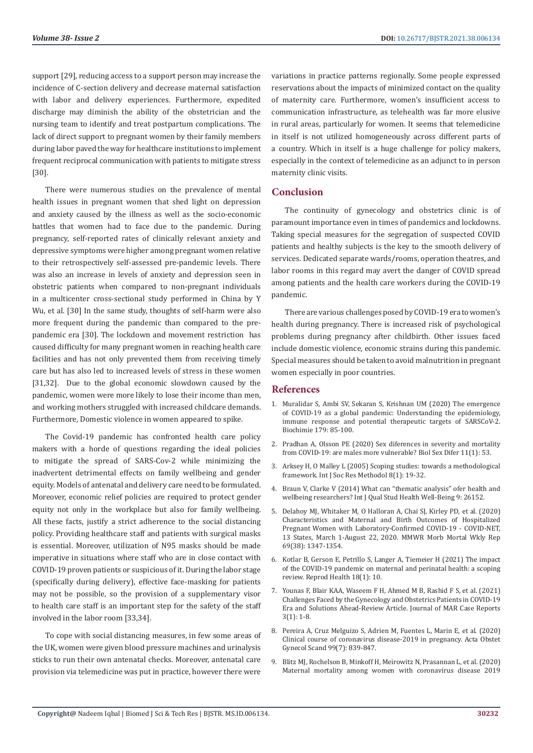support [29], reducing access to a support person may increase the incidence of C-section delivery and decrease maternal satisfaction with labor and delivery experiences. Furthermore, expedited discharge may diminish the ability of the obstetrician and the nursing team to identify and treat postpartum complications. The lack of direct support to pregnant women by their family members during labor paved the way for healthcare institutions to implement frequent reciprocal communication with patients to mitigate stress [30].

There were numerous studies on the prevalence of mental health issues in pregnant women that shed light on depression and anxiety caused by the illness as well as the socio-economic battles that women had to face due to the pandemic. During pregnancy, self-reported rates of clinically relevant anxiety and depressive symptoms were higher among pregnant women relative to their retrospectively self-assessed pre-pandemic levels. There was also an increase in levels of anxiety and depression seen in obstetric patients when compared to non-pregnant individuals in a multicenter cross-sectional study performed in China by Y Wu, et al. [30] In the same study, thoughts of self-harm were also more frequent during the pandemic than compared to the prepandemic era [30]. The lockdown and movement restriction has caused difficulty for many pregnant women in reaching health care facilities and has not only prevented them from receiving timely care but has also led to increased levels of stress in these women [31,32]. Due to the global economic slowdown caused by the pandemic, women were more likely to lose their income than men, and working mothers struggled with increased childcare demands. Furthermore, Domestic violence in women appeared to spike.

The Covid-19 pandemic has confronted health care policy makers with a horde of questions regarding the ideal policies to mitigate the spread of SARS-Cov-2 while minimizing the inadvertent detrimental effects on family wellbeing and gender equity. Models of antenatal and delivery care need to be formulated. Moreover, economic relief policies are required to protect gender equity not only in the workplace but also for family wellbeing. All these facts, justify a strict adherence to the social distancing policy. Providing healthcare staff and patients with surgical masks is essential. Moreover, utilization of N95 masks should be made imperative in situations where staff who are in close contact with COVID-19 proven patients or suspicious of it. During the labor stage (specifically during delivery), effective face-masking for patients may not be possible, so the provision of a supplementary visor to health care staff is an important step for the safety of the staff involved in the labor room [33,34].

To cope with social distancing measures, in few some areas of the UK, women were given blood pressure machines and urinalysis sticks to run their own antenatal checks. Moreover, antenatal care provision via telemedicine was put in practice, however there were

variations in practice patterns regionally. Some people expressed reservations about the impacts of minimized contact on the quality of maternity care. Furthermore, women's insufficient access to communication infrastructure, as telehealth was far more elusive in rural areas, particularly for women. It seems that telemedicine in itself is not utilized homogeneously across different parts of a country. Which in itself is a huge challenge for policy makers, especially in the context of telemedicine as an adjunct to in person maternity clinic visits.

## **Conclusion**

The continuity of gynecology and obstetrics clinic is of paramount importance even in times of pandemics and lockdowns. Taking special measures for the segregation of suspected COVID patients and healthy subjects is the key to the smooth delivery of services. Dedicated separate wards/rooms, operation theatres, and labor rooms in this regard may avert the danger of COVID spread among patients and the health care workers during the COVID-19 pandemic.

There are various challenges posed by COVID-19 era to women's health during pregnancy. There is increased risk of psychological problems during pregnancy after childbirth. Other issues faced include domestic violence, economic strains during this pandemic. Special measures should be taken to avoid malnutrition in pregnant women especially in poor countries.

#### **References**

- 1. [Muralidar S, Ambi SV, Sekaran S, Krishnan UM \(2020\) The emergence](https://www.ncbi.nlm.nih.gov/labs/pmc/articles/PMC7505773/) [of COVID-19 as a global pandemic: Understanding the epidemiology,](https://www.ncbi.nlm.nih.gov/labs/pmc/articles/PMC7505773/) [immune response and potential therapeutic targets of SARSCoV-2.](https://www.ncbi.nlm.nih.gov/labs/pmc/articles/PMC7505773/) [Biochimie 179: 85-100.](https://www.ncbi.nlm.nih.gov/labs/pmc/articles/PMC7505773/)
- 2. [Pradhan A, Olsson PE \(2020\) Sex diferences in severity and mortality](https://pubmed.ncbi.nlm.nih.gov/32948238/) [from COVID-19: are males more vulnerable? Biol Sex Difer 11\(1\): 53.](https://pubmed.ncbi.nlm.nih.gov/32948238/)
- 3. [Arksey H, O Malley L \(2005\) Scoping studies: towards a methodological](https://www.tandfonline.com/doi/abs/10.1080/1364557032000119616) [framework. Int J Soc Res Methodol 8\(1\): 19-32.](https://www.tandfonline.com/doi/abs/10.1080/1364557032000119616)
- 4. [Braun V, Clarke V \(2014\) What can "thematic analysis" ofer health and](https://pubmed.ncbi.nlm.nih.gov/25326092/) [wellbeing researchers? Int J Qual Stud Health Well-Being 9: 26152.](https://pubmed.ncbi.nlm.nih.gov/25326092/)
- 5. [Delahoy MJ, Whitaker M, O Halloran A, Chai SJ, Kirley PD, et al. \(2020\)](https://pubmed.ncbi.nlm.nih.gov/32970655/) [Characteristics and Maternal and Birth Outcomes of Hospitalized](https://pubmed.ncbi.nlm.nih.gov/32970655/) [Pregnant Women with Laboratory-Confirmed COVID-19 - COVID-NET,](https://pubmed.ncbi.nlm.nih.gov/32970655/) [13 States, March 1-August 22, 2020. MMWR Morb Mortal Wkly Rep](https://pubmed.ncbi.nlm.nih.gov/32970655/) [69\(38\): 1347-1354.](https://pubmed.ncbi.nlm.nih.gov/32970655/)
- 6. [Kotlar B, Gerson E, Petrillo S, Langer A, Tiemeier H \(2021\) The impact](https://reproductive-health-journal.biomedcentral.com/articles/10.1186/s12978-021-01070-6) [of the COVID-19 pandemic on maternal and perinatal health: a scoping](https://reproductive-health-journal.biomedcentral.com/articles/10.1186/s12978-021-01070-6) [review. Reprod Health 18\(1\): 10.](https://reproductive-health-journal.biomedcentral.com/articles/10.1186/s12978-021-01070-6)
- 7. Younas F, Blair KAA, Waseem F H, Ahmed M B, Rashid F S, et al. (2021) Challenges Faced by the Gynecology and Obstetrics Patients in COVID-19 Era and Solutions Ahead-Review Article. Journal of MAR Case Reports 3(1): 1-8.
- 8. [Pereira A, Cruz Melguizo S, Adrien M, Fuentes L, Marin E, et al. \(2020\)](https://pubmed.ncbi.nlm.nih.gov/32441332/) [Clinical course of coronavirus disease-2019 in pregnancy. Acta Obstet](https://pubmed.ncbi.nlm.nih.gov/32441332/) [Gynecol Scand 99\(7\): 839-847.](https://pubmed.ncbi.nlm.nih.gov/32441332/)
- 9. [Blitz MJ, Rochelson B, Minkoff H, Meirowitz N, Prasannan L, et al. \(2020\)](https://pubmed.ncbi.nlm.nih.gov/32553910/) [Maternal mortality among women with coronavirus disease 2019](https://pubmed.ncbi.nlm.nih.gov/32553910/)